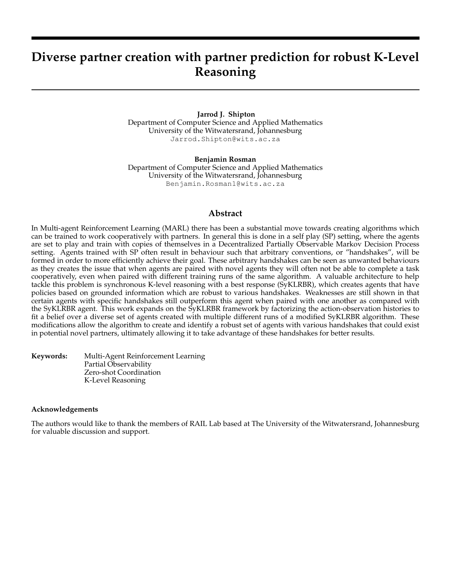# **Diverse partner creation with partner prediction for robust K-Level Reasoning**

**Jarrod J. Shipton** Department of Computer Science and Applied Mathematics University of the Witwatersrand, Johannesburg Jarrod.Shipton@wits.ac.za

**Benjamin Rosman** Department of Computer Science and Applied Mathematics University of the Witwatersrand, Johannesburg Benjamin.Rosman1@wits.ac.za

#### **Abstract**

In Multi-agent Reinforcement Learning (MARL) there has been a substantial move towards creating algorithms which can be trained to work cooperatively with partners. In general this is done in a self play (SP) setting, where the agents are set to play and train with copies of themselves in a Decentralized Partially Observable Markov Decision Process setting. Agents trained with SP often result in behaviour such that arbitrary conventions, or "handshakes", will be formed in order to more efficiently achieve their goal. These arbitrary handshakes can be seen as unwanted behaviours as they creates the issue that when agents are paired with novel agents they will often not be able to complete a task cooperatively, even when paired with different training runs of the same algorithm. A valuable architecture to help tackle this problem is synchronous K-level reasoning with a best response (SyKLRBR), which creates agents that have policies based on grounded information which are robust to various handshakes. Weaknesses are still shown in that certain agents with specific handshakes still outperform this agent when paired with one another as compared with the SyKLRBR agent. This work expands on the SyKLRBR framework by factorizing the action-observation histories to fit a belief over a diverse set of agents created with multiple different runs of a modified SyKLRBR algorithm. These modifications allow the algorithm to create and identify a robust set of agents with various handshakes that could exist in potential novel partners, ultimately allowing it to take advantage of these handshakes for better results.

**Keywords:** Multi-Agent Reinforcement Learning Partial Observability Zero-shot Coordination K-Level Reasoning

#### **Acknowledgements**

The authors would like to thank the members of RAIL Lab based at The University of the Witwatersrand, Johannesburg for valuable discussion and support.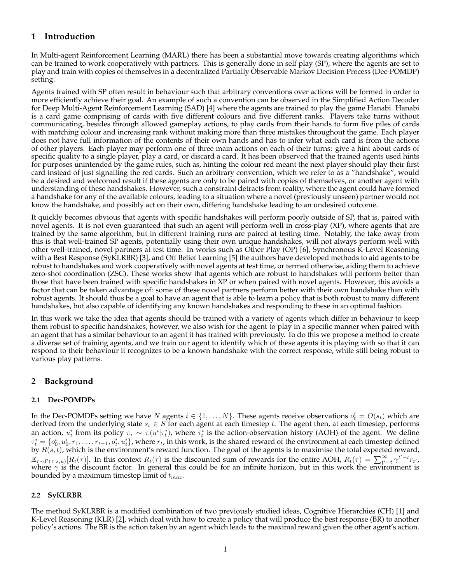## **1 Introduction**

In Multi-agent Reinforcement Learning (MARL) there has been a substantial move towards creating algorithms which can be trained to work cooperatively with partners. This is generally done in self play (SP), where the agents are set to play and train with copies of themselves in a decentralized Partially Observable Markov Decision Process (Dec-POMDP) setting.

Agents trained with SP often result in behaviour such that arbitrary conventions over actions will be formed in order to more efficiently achieve their goal. An example of such a convention can be observed in the Simplified Action Decoder for Deep Multi-Agent Reinforcement Learning (SAD) [4] where the agents are trained to play the game Hanabi. Hanabi is a card game comprising of cards with five different colours and five different ranks. Players take turns without communicating, besides through allowed gameplay actions, to play cards from their hands to form five piles of cards with matching colour and increasing rank without making more than three mistakes throughout the game. Each player does not have full information of the contents of their own hands and has to infer what each card is from the actions of other players. Each player may perform one of three main actions on each of their turns: give a hint about cards of specific quality to a single player, play a card, or discard a card. It has been observed that the trained agents used hints for purposes unintended by the game rules, such as, hinting the colour red meant the next player should play their first card instead of just signalling the red cards. Such an arbitrary convention, which we refer to as a "handshake", would be a desired and welcomed result if these agents are only to be paired with copies of themselves, or another agent with understanding of these handshakes. However, such a constraint detracts from reality, where the agent could have formed a handshake for any of the available colours, leading to a situation where a novel (previously unseen) partner would not know the handshake, and possibly act on their own, differing handshake leading to an undesired outcome.

It quickly becomes obvious that agents with specific handshakes will perform poorly outside of SP, that is, paired with novel agents. It is not even guaranteed that such an agent will perform well in cross-play (XP), where agents that are trained by the same algorithm, but in different training runs are paired at testing time. Notably, the take away from this is that well-trained SP agents, potentially using their own unique handshakes, will not always perform well with other well-trained, novel partners at test time. In works such as Other Play (OP) [6], Synchronous K-Level Reasoning with a Best Response (SyKLRBR) [3], and Off Belief Learning [5] the authors have developed methods to aid agents to be robust to handshakes and work cooperatively with novel agents at test time, or termed otherwise, aiding them to achieve zero-shot coordination (ZSC). These works show that agents which are robust to handshakes will perform better than those that have been trained with specific handshakes in XP or when paired with novel agents. However, this avoids a factor that can be taken advantage of: some of these novel partners perform better with their own handshake than with robust agents. It should thus be a goal to have an agent that is able to learn a policy that is both robust to many different handshakes, but also capable of identifying any known handshakes and responding to these in an optimal fashion.

In this work we take the idea that agents should be trained with a variety of agents which differ in behaviour to keep them robust to specific handshakes, however, we also wish for the agent to play in a specific manner when paired with an agent that has a similar behaviour to an agent it has trained with previously. To do this we propose a method to create a diverse set of training agents, and we train our agent to identify which of these agents it is playing with so that it can respond to their behaviour it recognizes to be a known handshake with the correct response, while still being robust to various play patterns.

## **2 Background**

#### **2.1 Dec-POMDPs**

In the Dec-POMDPs setting we have N agents  $i \in \{1,\ldots,N\}$ . These agents receive observations  $o_t^i = O(s_t)$  which are derived from the underlying state  $s_t \in S$  for each agent at each timestep t. The agent then, at each timestep, performs an action,  $u_t^i$  from its policy  $\pi_i \sim \pi(u^i|\tau_t^i)$ , where  $\tau_t^i$  is the action-observation history (AOH) of the agent. We define  $\tau_t^i=\{o_0^i,u_0^i,r_1,\ldots,r_{t-1},o_t^i,u_t^i\}$ , where  $r_t$ , in this work, is the shared reward of the environment at each timestep defined by  $R(s, t)$ , which is the environment's reward function. The goal of the agents is to maximise the total expected reward,  $\mathbb{E}_{\tau \sim P(\tau | s, u)}[R_t(\tau)]$ . In this context  $R_t(\tau)$  is the discounted sum of rewards for the entire AOH,  $R_t(\tau) = \sum_{t'=t}^{\infty} \gamma^{t'-t} r_{t'}$ , where  $\gamma$  is the discount factor. In general this could be for an infinite horizon, but in this work the environment is bounded by a maximum timestep limit of  $t_{max}$ .

#### **2.2 SyKLRBR**

The method SyKLRBR is a modified combination of two previously studied ideas, Cognitive Hierarchies (CH) [1] and K-Level Reasoning (KLR) [2], which deal with how to create a policy that will produce the best response (BR) to another policy's actions. The BR is the action taken by an agent which leads to the maximal reward given the other agent's action.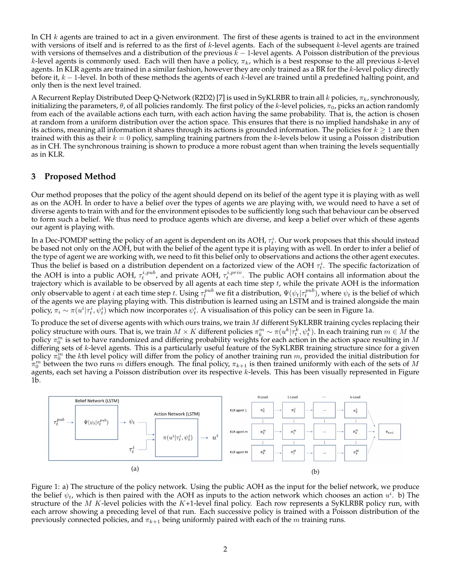In CH  $k$  agents are trained to act in a given environment. The first of these agents is trained to act in the environment with versions of itself and is referred to as the first of  $k$ -level agents. Each of the subsequent  $k$ -level agents are trained with versions of themselves and a distribution of the previous  $k - 1$ -level agents. A Poisson distribution of the previous k-level agents is commonly used. Each will then have a policy,  $\pi_k$ , which is a best response to the all previous k-level agents. In KLR agents are trained in a similar fashion, however they are only trained as a BR for the k-level policy directly before it,  $k-1$ -level. In both of these methods the agents of each k-level are trained until a predefined halting point, and only then is the next level trained.

A Recurrent Replay Distributed Deep Q-Network (R2D2) [7] is used in SyKLRBR to train all k policies,  $\pi_k$ , synchronously, initializing the parameters,  $\theta$ , of all policies randomly. The first policy of the k-level policies,  $\pi_0$ , picks an action randomly from each of the available actions each turn, with each action having the same probability. That is, the action is chosen at random from a uniform distribution over the action space. This ensures that there is no implied handshake in any of its actions, meaning all information it shares through its actions is grounded information. The policies for  $k \geq 1$  are then trained with this as their  $k = 0$  policy, sampling training partners from the k-levels below it using a Poisson distribution as in CH. The synchronous training is shown to produce a more robust agent than when training the levels sequentially as in KLR.

### **3 Proposed Method**

Our method proposes that the policy of the agent should depend on its belief of the agent type it is playing with as well as on the AOH. In order to have a belief over the types of agents we are playing with, we would need to have a set of diverse agents to train with and for the environment episodes to be sufficiently long such that behaviour can be observed to form such a belief. We thus need to produce agents which are diverse, and keep a belief over which of these agents our agent is playing with.

In a Dec-POMDP setting the policy of an agent is dependent on its AOH,  $\tau_t^i$ . Our work proposes that this should instead be based not only on the AOH, but with the belief of the agent type it is playing with as well. In order to infer a belief of the type of agent we are working with, we need to fit this belief only to observations and actions the other agent executes. Thus the belief is based on a distribution dependent on a factorized view of the AOH  $\tau^i_t$ . The specific factorization of the AOH is into a public AOH,  $\tau_t^{i,pub}$ , and private AOH,  $\tau_t^{i,priv}$ . The public AOH contains all information about the trajectory which is available to be observed by all agents at each time step  $t$ , while the private AOH is the information only observable to agent  $i$  at each time step  $t.$  Using  $\tau_t^{pub}$  we fit a distribution,  $\Psi(\psi_t|\tau_t^{pub})$ , where  $\psi_t$  is the belief of which of the agents we are playing playing with. This distribution is learned using an LSTM and is trained alongside the main policy,  $\pi_i \sim \pi(u^i|\tau_t^i,\psi_t^i)$  which now incorporates  $\psi_t^i$ . A visualisation of this policy can be seen in Figure 1a.

To produce the set of diverse agents with which ours trains, we train  $M$  different SyKLRBR training cycles replacing their policy structure with ours. That is, we train  $M\times K$  different policies  $\pi^m_k\sim\pi(u^k|\tau^k_t,\psi^k_t)$ . In each training run  $m\in M$  the policy  $\pi_0^m$  is set to have randomized and differing probability weights for each action in the action space resulting in  $M$ differing sets of  $k$ -level agents. This is a particularly useful feature of the SyKLRBR training structure since for a given policy  $\pi_0^m$  the kth level policy will differ from the policy of another training run m, provided the initial distribution for  $\pi_0^m$  between the two runs m differs enough. The final policy,  $\pi_{k+1}$  is then trained uniformly with each of the sets of M agents, each set having a Poisson distribution over its respective k-levels. This has been visually represented in Figure 1b.



Figure 1: a) The structure of the policy network. Using the public AOH as the input for the belief network, we produce the belief  $\psi_t$ , which is then paired with the AOH as inputs to the action network which chooses an action  $u^i$ . b) The structure of the M K-level policies with the K+1-level final policy. Each row represents a SyKLRBR policy run, with each arrow showing a preceding level of that run. Each successive policy is trained with a Poisson distribution of the previously connected policies, and  $\pi_{k+1}$  being uniformly paired with each of the m training runs.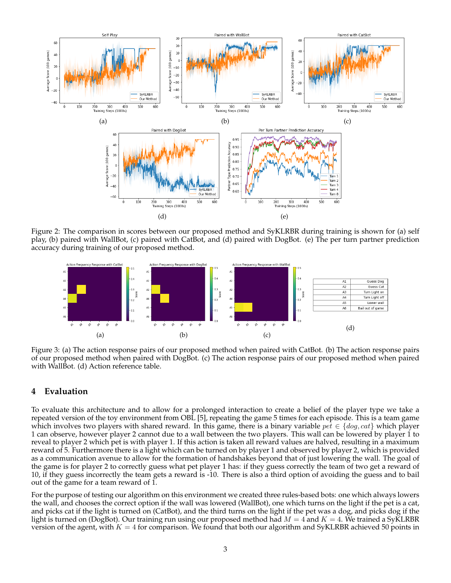

Figure 2: The comparison in scores between our proposed method and SyKLRBR during training is shown for (a) self play, (b) paired with WallBot, (c) paired with CatBot, and (d) paired with DogBot. (e) The per turn partner prediction accuracy during training of our proposed method.



Figure 3: (a) The action response pairs of our proposed method when paired with CatBot. (b) The action response pairs of our proposed method when paired with DogBot. (c) The action response pairs of our proposed method when paired with WallBot. (d) Action reference table.

#### **4 Evaluation**

To evaluate this architecture and to allow for a prolonged interaction to create a belief of the player type we take a repeated version of the toy environment from OBL [5], repeating the game 5 times for each episode. This is a team game which involves two players with shared reward. In this game, there is a binary variable  $pet \in \{dog, cat\}$  which player 1 can observe, however player 2 cannot due to a wall between the two players. This wall can be lowered by player 1 to reveal to player 2 which pet is with player 1. If this action is taken all reward values are halved, resulting in a maximum reward of 5. Furthermore there is a light which can be turned on by player 1 and observed by player 2, which is provided as a communication avenue to allow for the formation of handshakes beyond that of just lowering the wall. The goal of the game is for player 2 to correctly guess what pet player 1 has: if they guess correctly the team of two get a reward of 10, if they guess incorrectly the team gets a reward is -10. There is also a third option of avoiding the guess and to bail out of the game for a team reward of 1.

For the purpose of testing our algorithm on this environment we created three rules-based bots: one which always lowers the wall, and chooses the correct option if the wall was lowered (WallBot), one which turns on the light if the pet is a cat, and picks cat if the light is turned on (CatBot), and the third turns on the light if the pet was a dog, and picks dog if the light is turned on (DogBot). Our training run using our proposed method had  $M = 4$  and  $K = 4$ . We trained a SyKLRBR version of the agent, with  $K = 4$  for comparison. We found that both our algorithm and SyKLRBR achieved 50 points in